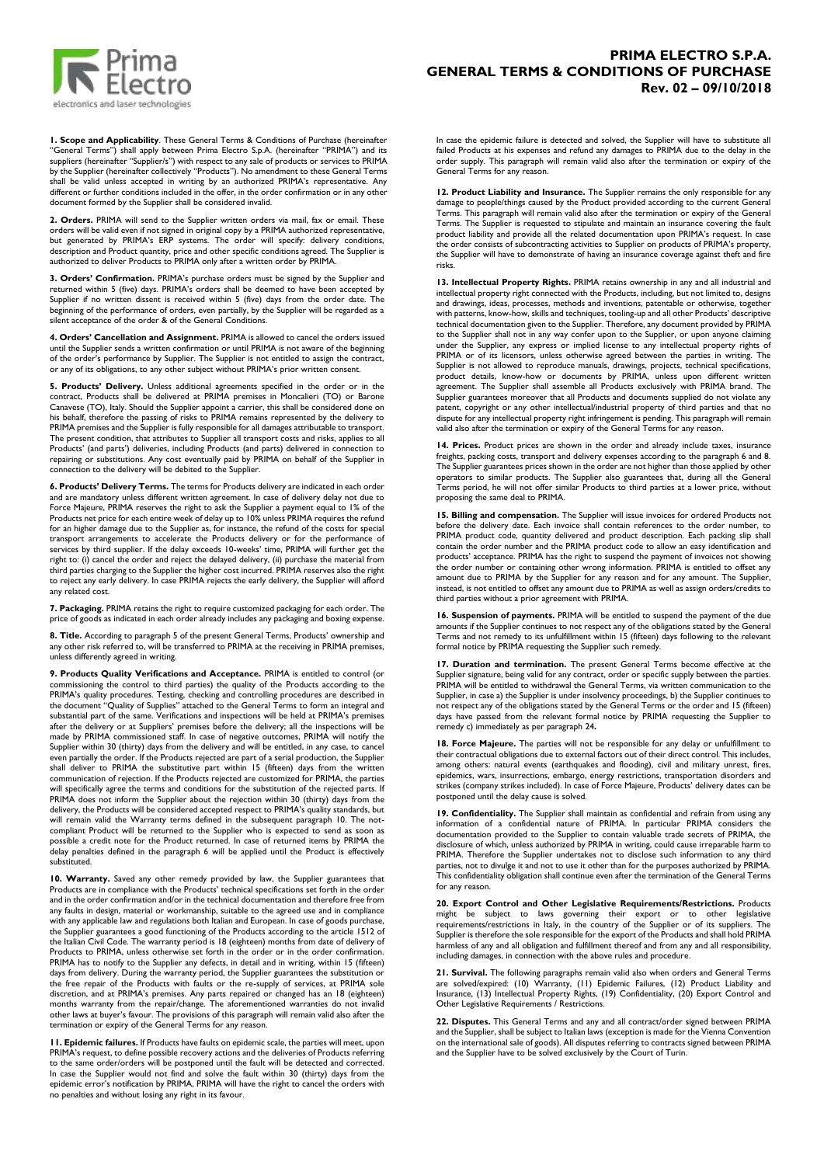

**1. Scope and Applicability**. These General Terms & Conditions of Purchase (hereinafter "General Terms") shall apply between Prima Electro S.p.A. (hereinafter "PRIMA") and its suppliers (hereinafter "Supplier/s") with respect to any sale of products or services to PRIMA by the Supplier (hereinafter collectively "Products"). No amendment to these General Terms shall be valid unless accepted in writing by an authorized PRIMA's representative. Any different or further conditions included in the offer, in the order confirmation or in any other document formed by the Supplier shall be considered invalid.

**2. Orders.** PRIMA will send to the Supplier written orders via mail, fax or email. These<br>orders will be valid even if not signed in original copy by a PRIMA authorized representative,<br>but generated by PRIMA's ERP systems. description and Product quantity, price and other specific conditions agreed. The Supplier is authorized to deliver Products to PRIMA only after a written order by PRIMA.

**3. Orders' Confirmation.** PRIMA's purchase orders must be signed by the Supplier and returned within 5 (five) days. PRIMA's orders shall be deemed to have been accepted by Supplier if no written dissent is received within 5 (five) days from the order date. The beginning of the performance of orders, even partially, by the Supplier will be regarded as a silent acceptance of the order & of the General Conditions.

**4. Orders' Cancellation and Assignment.** PRIMA is allowed to cancel the orders issued until the Supplier sends a written confirmation or until PRIMA is not aware of the beginning of the order's performance by Supplier. The Supplier is not entitled to assign the contract, or any of its obligations, to any other subject without PRIMA's prior written consent.

**5. Products' Delivery.** Unless additional agreements specified in the order or in the contract, Products shall be delivered at PRIMA premises in Moncalieri (TO) or Barone Canavese (TO), Italy. Should the Supplier appoint a carrier, this shall be considered done on his behalf, therefore the passing of risks to PRIMA remains represented by the delivery to PRIMA premises and the Supplier is fully responsible for all damages attributable to transport. The present condition, that attributes to Supplier all transport costs and risks, applies to all Products' (and parts') deliveries, including Products (and parts) delivered in connection to<br>repairing or substitutions. Any cost eventually paid by PRIMA on behalf of the Supplier in<br>connection to the delivery will be deb

**6. Products' Delivery Terms.** The terms for Products delivery are indicated in each order and are mandatory unless different written agreement. In case of delivery delay not due to Force Majeure, PRIMA reserves the right to ask the Supplier a payment equal to 1% of the<br>Products net price for each entire week of delay up to 10% unless PRIMA requires the refund<br>for an higher damage due to the Supplier transport arrangements to accelerate the Products delivery or for the performance of services by third supplier. If the delay exceeds 10-weeks' time, PRIMA will further get the<br>right to: (i) cancel the order and reject the delayed delivery, (ii) purchase the material from<br>third parties charging to the Supp to reject any early delivery. In case PRIMA rejects the early delivery, the Supplier will afford any related cost.

**7. Packaging.** PRIMA retains the right to require customized packaging for each order. The price of goods as indicated in each order already includes any packaging and boxing expense.

**8. Title.** According to paragraph 5 of the present General Terms, Products' ownership and<br>any other risk referred to, will be transferred to PRIMA at the receiving in PRIMA premises,<br>unless differently agreed in writing.

**9. Products Quality Verifications and Acceptance.** PRIMA is entitled to control (or commissioning the control to third parties) the quality of the Products according to the PRIMA's quality procedures. Testing, checking an made by PRIMA commissioned staff. In case of negative outcomes, PRIMA will notify the<br>Supplier within 30 (thirty) days from the delivery and will be entitled, in any case, to cancel<br>even partially the order. If the Product shall deliver to PRIMA the substitutive part within 15 (fifteen) days from the written communication of rejection. If the Products rejected are customized for PRIMA, the parties will specifically agree the terms and conditions for the substitution of the rejected parts. If PRIMA does not inform the Supplier about the rejection within 30 (thirty) days from the delivery, the Products will be considered accepted respect to PRIMA's quality standards, but will remain valid the Warranty terms defined in the subsequent paragraph 10. The not-<br>will remain valid the Warranty terms defined in the subsequent paragraph 10. The notcompliant Product will be returned to the Supplier who is expected to send as soon as possible a credit note for the Product returned. In case of returned items by PRIMA the delay penalties defined in the paragraph 6 will be applied until the Product is effectively substituted.

**10. Warranty.** Saved any other remedy provided by law, the Supplier guarantees that Products are in compliance with the Products' echnical specifications set forth in the order and in the order confirmation and/or in the technical documentation and therefore free from any faults in design, material or workmanship, suitable to the agreed use and in compliance with any applicable law and regulations both Italian and European. In case of goods purchase, the Supplier guarantees a good functioning of the Products according to the article 1512 of the Italian Civil Code. The warranty period is 18 (eighteen) months from date of delivery of Products to PRIMA, unless otherwise set forth in the order or in the order confirmation. PRIMA has to notify to the Supplier any defects, in detail and in writing, within 15 (fifteen) days from delivery. During the warranty period, the Supplier guarantees the substitution or<br>the free repair of the Products with faults or the re-supply of services, at PRIMA sole<br>discretion, and at PRIMA's premises. Any p months warranty from the repair/change. The aforementioned warranties do not invalid other laws at buyer's favour. The provisions of this paragraph will remain valid also after the termination or expiry of the General Terms for any reason.

**11. Epidemic failures.** If Products have faults on epidemic scale, the parties will meet, upon PRIMA's request, to define possible recovery actions and the deliveries of Products referring to the same order/orders will be postponed until the fault will be detected and corrected. In case the Supplier would not find and solve the fault within 30 (thirty) days from the epidemic error's notification by PRIMA, PRIMA will have the right to cancel the orders with no penalties and without losing any right in its favour.

## **PRIMA ELECTRO S.P.A. GENERAL TERMS & CONDITIONS OF PURCHASE Rev. 02 – 09/10/2018**

In case the epidemic failure is detected and solved, the Supplier will have to substitute all failed Products at his expenses and refund any damages to PRIMA due to the delay in the order supply. This paragraph will remain valid also after the termination or expiry of the General Terms for any reason.

**12. Product Liability and Insurance.** The Supplier remains the only responsible for any damage to people/things caused by the Product provided according to the current General Terms. This paragraph will remain valid also after the termination or expiry of the General Terms. The Supplier is requested to stipulate and maintain an insurance covering the fault product liability and provide all the related documentation upon PRIMA's request. In case the order consists of subcontracting activities to Supplier on products of PRIMA's property, the Supplier will have to demonstrate of having an insurance coverage against theft and fire risks.

**13. Intellectual Property Rights.** PRIMA retains ownership in any and all industrial and intellectual property right connected with the Products, including, but not limited to, designs and drawings, ideas, processes, methods and inventions, patentable or otherwise, together with patterns, know-how, skills and techniques, tooling-up and all other Products' descriptive technical documentation given to the Supplier. Therefore, any document provided by PRIMA to the Supplier shall not in any way confer upon to the Supplier, or upon anyone claiming under the Supplier, any express or implied license to any intellectual property rights of PRIMA or of its licensors, unless otherwise agreed between the parties in writing. The Supplier is not allowed to reproduce manuals, drawings, projects, technical specifications, product details, know-how or documents by PRIMA, unless upon different written agreement. The Supplier shall assemble all Products exclusively with PRIMA brand. The Supplier guarantees moreover that all Products and documents supplied do not violate any patent, copyright or any other intellectual/industrial property of third parties and that no dispute for any intellectual property right infringement is pending. This paragraph will remain valid also after the termination or expiry of the General Terms for any reason.

**14. Prices.** Product prices are shown in the order and already include taxes, insurance freights, packing costs, transport and delivery expenses according to the paragraph 6 and 8. The Supplier guarantees prices shown in the order are not higher than those applied by other operators to similar products. The Supplier also guarantees that, during all the General Terms period, he will not offer similar Products to third parties at a lower price, without proposing the same deal to PRIMA.

**15. Billing and compensation.** The Supplier will issue invoices for ordered Products not before the delivery date. Each invoice shall contain references to the order number, to PRIMA product code, quantity delivered and product description. Each packing slip shall contain the order number and the PRIMA product code to allow an easy identification and products' acceptance. PRIMA has the right to suspend the payment of invoices not showing the order number or containing other wrong information. PRIMA is entitled to offset any amount due to PRIMA by the Supplier for any reason and for any amount. The Supplier,<br>instead, is not entitled to offset any amount due to PRIMA as well as assign orders/credits to<br>third parties without a prior agreement wi

**16. Suspension of payments.** PRIMA will be entitled to suspend the payment of the due amounts if the Supplier continues to not respect any of the obligations stated by the General Terms and not remedy to its unfulfillment within 15 (fifteen) days following to the relevant formal notice by PRIMA requesting the Supplier such remedy.

**17. Duration and termination.** The present General Terms become effective at the Supplier signature, being valid for any contract, order or specific supply between the parties.<br>PRIMA will be entitled to withdrawal the General Terms, via written communication to the<br>Supplier, in case a) the Supplier is not respect any of the obligations stated by the General Terms or the order and 15 (fifteen) days have passed from the relevant formal notice by PRIMA requesting the Supplier to remedy c) immediately as per paragraph 24**.**

**18. Force Majeure.** The parties will not be responsible for any delay or unfulfillment to their contractual obligations due to external factors out of their direct control. This includes, among others: natural events (earthquakes and flooding), civil and military unrest, fires, epidemics, wars, insurrections, embargo, energy restrictions, transportation disorders and strikes (company strikes included). In case of Force Majeure, Products' delivery dates can be postponed until the delay cause is solved.

**19. Confidentiality.** The Supplier shall maintain as confidential and refrain from using any information of a confidential nature of PRIMA. In particular PRIMA considers the documentation provided to the Supplier to contain valuable trade secrets of PRIMA, the disclosure of which, unless authorized by PRIMA in writing, could cause irreparable harm to PRIMA. Therefore the Supplier undertakes not to disclose such information to any third parties, not to divulge it and not to use it other than for the purposes authorized by PRIMA. This confidentiality obligation shall continue even after the termination of the General Terms for any reason.

**20. Export Control and Other Legislative Requirements/Restrictions.** Products might be subject to laws governing their export or to other legislative requirements/restrictions in Italy, in the country of the Supplier or of its suppliers. The Supplier is therefore the sole responsible for the export of the Products and shall hold PRIMA harmless of any and all obligation and fulfillment thereof and from any and all responsibility, including damages, in connection with the above rules and procedure.

**21. Survival.** The following paragraphs remain valid also when orders and General Terms<br>are solved/expired: (10) Warranty, (11) Epidemic Failures, (12) Product Liability and<br>Insurance, (13) Intellectual Property Rights, ( Other Legislative Requirements / Restrictions.

**22. Disputes.** This General Terms and any and all contract/order signed between PRIMA and the Supplier, shall be subject to Italian laws (exception is made for the Vienna Convention on the international sale of goods). All disputes referring to contracts signed between PRIMA and the Supplier have to be solved exclusively by the Court of Turin.